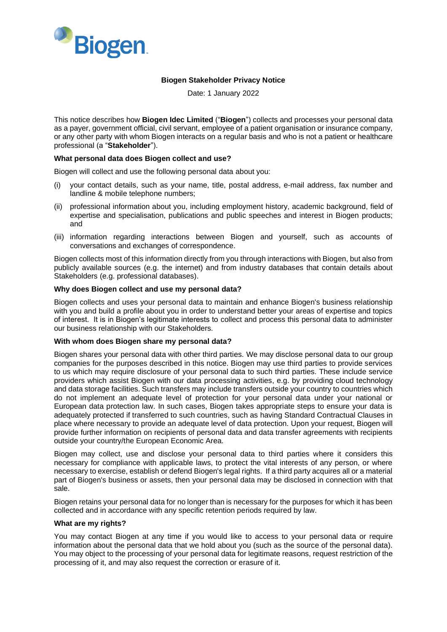

# **Biogen Stakeholder Privacy Notice**

Date: 1 January 2022

This notice describes how **Biogen Idec Limited** ("**Biogen**") collects and processes your personal data as a payer, government official, civil servant, employee of a patient organisation or insurance company, or any other party with whom Biogen interacts on a regular basis and who is not a patient or healthcare professional (a "**Stakeholder**").

### **What personal data does Biogen collect and use?**

Biogen will collect and use the following personal data about you:

- (i) your contact details, such as your name, title, postal address, e-mail address, fax number and landline & mobile telephone numbers;
- (ii) professional information about you, including employment history, academic background, field of expertise and specialisation, publications and public speeches and interest in Biogen products; and
- (iii) information regarding interactions between Biogen and yourself, such as accounts of conversations and exchanges of correspondence.

Biogen collects most of this information directly from you through interactions with Biogen, but also from publicly available sources (e.g. the internet) and from industry databases that contain details about Stakeholders (e.g. professional databases).

### **Why does Biogen collect and use my personal data?**

Biogen collects and uses your personal data to maintain and enhance Biogen's business relationship with you and build a profile about you in order to understand better your areas of expertise and topics of interest. It is in Biogen's legitimate interests to collect and process this personal data to administer our business relationship with our Stakeholders.

### **With whom does Biogen share my personal data?**

Biogen shares your personal data with other third parties. We may disclose personal data to our group companies for the purposes described in this notice. Biogen may use third parties to provide services to us which may require disclosure of your personal data to such third parties. These include service providers which assist Biogen with our data processing activities, e.g. by providing cloud technology and data storage facilities. Such transfers may include transfers outside your country to countries which do not implement an adequate level of protection for your personal data under your national or European data protection law. In such cases, Biogen takes appropriate steps to ensure your data is adequately protected if transferred to such countries, such as having Standard Contractual Clauses in place where necessary to provide an adequate level of data protection. Upon your request, Biogen will provide further information on recipients of personal data and data transfer agreements with recipients outside your country/the European Economic Area.

Biogen may collect, use and disclose your personal data to third parties where it considers this necessary for compliance with applicable laws, to protect the vital interests of any person, or where necessary to exercise, establish or defend Biogen's legal rights. If a third party acquires all or a material part of Biogen's business or assets, then your personal data may be disclosed in connection with that sale.

Biogen retains your personal data for no longer than is necessary for the purposes for which it has been collected and in accordance with any specific retention periods required by law.

### **What are my rights?**

You may contact Biogen at any time if you would like to access to your personal data or require information about the personal data that we hold about you (such as the source of the personal data). You may object to the processing of your personal data for legitimate reasons, request restriction of the processing of it, and may also request the correction or erasure of it.